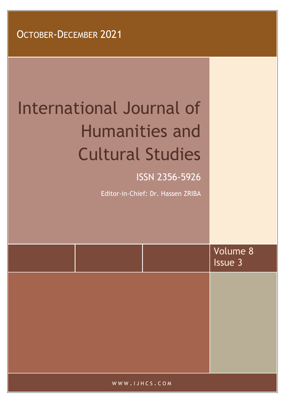# International Journal of Humanities and Cultural Studies ISSN 2356-5926

Editor-in-Chief: Dr. Hassen ZRIBA

|               | Volume 8<br>Issue 3 |
|---------------|---------------------|
|               |                     |
|               |                     |
|               |                     |
| WWW.IJHCS.COM |                     |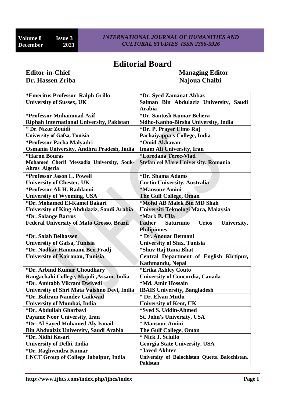# **Editorial Board**

# **Dr. Hassen Zriba Najoua Chalbi Najoua Chalbi Najoua Chalbi**

**Editor-in-Chief Managing Editor** 

| *Emeritus Professor Ralph Grillo                 | *Dr. Syed Zamanat Abbas                                   |  |
|--------------------------------------------------|-----------------------------------------------------------|--|
| <b>University of Sussex, UK</b>                  | Salman Bin Abdulaziz University, Saudi                    |  |
|                                                  | <b>Arabia</b>                                             |  |
| *Professor Muhammad Asif                         | *Dr. Santosh Kumar Behera                                 |  |
| Riphah International University, Pakistan        | Sidho-Kanho-Birsha University, India                      |  |
| * Dr. Nizar Zouidi                               | *Dr. P. Prayer Elmo Raj                                   |  |
| <b>University of Gafsa, Tunisia</b>              | Pachaiyappa's College, India                              |  |
| *Professor Pacha Malyadri                        | *Omid Akhavan                                             |  |
| Osmania University, Andhra Pradesh, India        | <b>Imam Ali University, Iran</b>                          |  |
| <i><b>*Haron Bouras</b></i>                      | *Loredana Terec-Vlad                                      |  |
| Mohamed Cherif Messadia University, Souk-        | Stefan cel Mare University, Romania                       |  |
| Ahras Algeria                                    |                                                           |  |
| *Professor Jason L. Powell                       | *Dr. Shama Adams                                          |  |
| <b>University of Chester, UK</b>                 | <b>Curtin University, Australia</b>                       |  |
| *Professor Ali H. Raddaoui                       | *Mansour Amini                                            |  |
| <b>University of Wyoming, USA</b>                | <b>The Gulf College, Oman</b>                             |  |
| *Dr. Mohamed El-Kamel Bakari                     | *Mohd AB Malek Bin MD Shah                                |  |
| University of King Abdulaziz, Saudi Arabia       | Universiti Teknologi Mara, Malaysia                       |  |
| *Dr. Solange Barros                              | *Mark B. Ulla                                             |  |
| <b>Federal University of Mato Grosso, Brazil</b> | <b>Saturnino</b><br><b>Urios</b><br>University,<br>Father |  |
|                                                  | <b>Philipinnes</b>                                        |  |
| *Dr. Salah Belhassen                             | * Dr. Anouar Bennani                                      |  |
| <b>University of Gafsa, Tunisia</b>              | <b>University of Sfax, Tunisia</b>                        |  |
| *Dr. Nodhar Hammami Ben Fradj                    | *Shuv Raj Rana Bhat                                       |  |
| <b>University of Kairouan, Tunisia</b>           | Central Department of English Kirtipur,                   |  |
|                                                  | Kathmandu, Nepal                                          |  |
| *Dr. Arbind Kumar Choudhary                      | *Erika Ashley Couto                                       |  |
| Rangachahi College, Majuli , Assam, India        | <b>University of Concordia, Canada</b>                    |  |
| *Dr. Amitabh Vikram Dwivedi                      | *Md. Amir Hossain                                         |  |
| University of Shri Mata Vaishno Devi, India      | <b>IBAIS University, Bangladesh</b>                       |  |
| *Dr. Baliram Namdev Gaikwad                      | * Dr. Elvan Mutlu                                         |  |
| <b>University of Mumbai, India</b>               | <b>University of Kent, UK</b>                             |  |
| *Dr. Abdullah Gharbavi                           | *Syed S. Uddin-Ahmed                                      |  |
| Payame Noor University, Iran                     | <b>St. John's University, USA</b>                         |  |
| *Dr. Al Sayed Mohamed Aly Ismail                 | * Mansour Amini                                           |  |
| <b>Bin Abdualziz University, Saudi Arabia</b>    | The Gulf College, Oman                                    |  |
| *Dr. Nidhi Kesari                                | * Nick J. Sciullo                                         |  |
| <b>University of Delhi, India</b>                | <b>Georgia State University, USA</b>                      |  |
| *Dr. Raghvendra Kumar                            | <i><b>*Javed Akhter</b></i>                               |  |
| <b>LNCT Group of College Jabalpur, India</b>     | University of Balochistan Quetta Balochistan,             |  |
|                                                  | <b>Pakistan</b>                                           |  |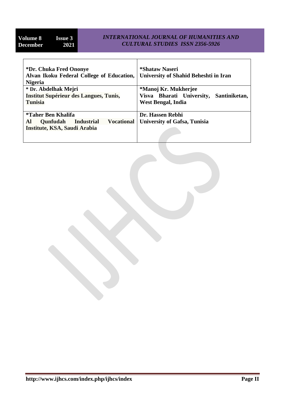Ì

#### *INTERNATIONAL JOURNAL OF HUMANITIES AND CULTURAL STUDIES ISSN 2356-5926*

| *Dr. Chuka Fred Ononye<br>Alvan Ikoku Federal College of Education,<br><b>Nigeria</b> | *Shataw Naseri<br>University of Shahid Beheshti in Iran |  |
|---------------------------------------------------------------------------------------|---------------------------------------------------------|--|
| * Dr. Abdelhak Mejri                                                                  | *Manoj Kr. Mukherjee                                    |  |
| <b>Institut Supérieur des Langues, Tunis,</b>                                         | Visva Bharati University,<br>Santiniketan,              |  |
| <b>Tunisia</b>                                                                        | <b>West Bengal, India</b>                               |  |
|                                                                                       |                                                         |  |
| <i>*Taher Ben Khalifa</i>                                                             | Dr. Hassen Rebhi                                        |  |
| <b>Industrial</b><br><b>Vocational</b><br>Al<br><b>Qunfudah</b>                       | <b>University of Gafsa, Tunisia</b>                     |  |
| Institute, KSA, Saudi Arabia                                                          |                                                         |  |
|                                                                                       |                                                         |  |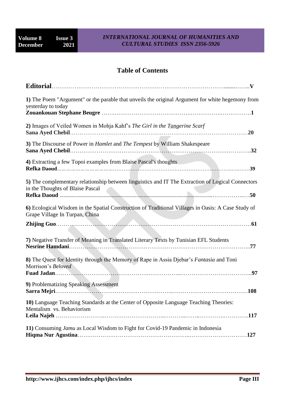### **Table of Contents**

| <b>Editorial</b>                                                                                                                      |
|---------------------------------------------------------------------------------------------------------------------------------------|
| 1) The Poem "Argument" or the parable that unveils the original Argument for white hegemony from<br>yesterday to today                |
| 2) Images of Veiled Women in Mohja Kahf's The Girl in the Tangerine Scarf<br>.20                                                      |
| 3) The Discourse of Power in <i>Hamlet</i> and <i>The Tempest</i> by William Shakespeare                                              |
| 4) Extracting a few Topoi examples from Blaise Pascal's thoughts<br>.39                                                               |
| 5) The complementary relationship between linguistics and IT The Extraction of Logical Connectors<br>in the Thoughts of Blaise Pascal |
| 6) Ecological Wisdom in the Spatial Construction of Traditional Villages in Oasis: A Case Study of<br>Grape Village In Turpan, China  |
|                                                                                                                                       |
| 7) Negative Transfer of Meaning in Translated Literary Texts by Tunisian EFL Students<br>.77                                          |
| 8) The Quest for Identity through the Memory of Rape in Assia Djebar's Fantasia and Toni<br>Morrison's Beloved<br>. 97                |
| 9) Problematizing Speaking Assessment<br>.108                                                                                         |
| 10) Language Teaching Standards at the Center of Opposite Language Teaching Theories:<br>Mentalism vs. Behaviorism                    |
| 11) Consuming Jamu as Local Wisdom to Fight for Covid-19 Pandemic in Indonesia                                                        |